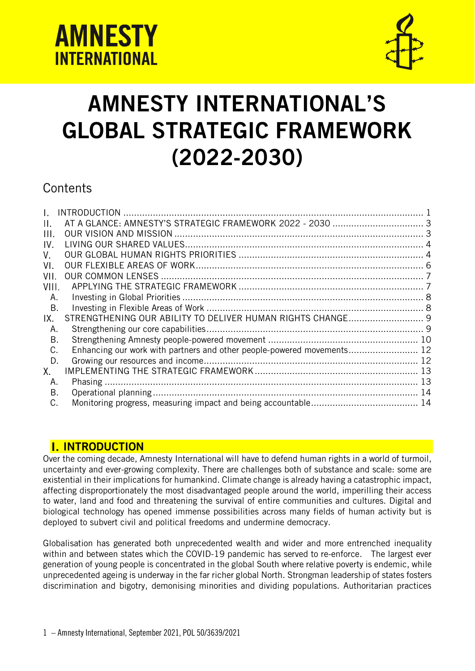



# AMNESTY INTERNATIONAL'S GLOBAL STRATEGIC FRAMEWORK (2022-2030)

# **Contents**

| Ι.    |                                                                        |  |
|-------|------------------------------------------------------------------------|--|
| П.    |                                                                        |  |
| Ш.    |                                                                        |  |
| IV.   |                                                                        |  |
| V.    |                                                                        |  |
| VI.   |                                                                        |  |
| VII.  |                                                                        |  |
| VIII. |                                                                        |  |
| Α.    |                                                                        |  |
| В.    |                                                                        |  |
| IX.   |                                                                        |  |
| Α.    |                                                                        |  |
| В.    |                                                                        |  |
| C.    | Enhancing our work with partners and other people-powered movements 12 |  |
| D.    |                                                                        |  |
| Х.    |                                                                        |  |
| Α.    |                                                                        |  |
| В.    |                                                                        |  |
| C.    |                                                                        |  |
|       |                                                                        |  |

# <span id="page-0-0"></span>**I. INTRODUCTION**

Over the coming decade, Amnesty International will have to defend human rights in a world of turmoil, uncertainty and ever-growing complexity. There are challenges both of substance and scale: some are existential in their implications for humankind. Climate change is already having a catastrophic impact, affecting disproportionately the most disadvantaged people around the world, imperilling their access to water, land and food and threatening the survival of entire communities and cultures. Digital and biological technology has opened immense possibilities across many fields of human activity but is deployed to subvert civil and political freedoms and undermine democracy.

Globalisation has generated both unprecedented wealth and wider and more entrenched inequality within and between states which the COVID-19 pandemic has served to re-enforce. The largest ever generation of young people is concentrated in the global South where relative poverty is endemic, while unprecedented ageing is underway in the far richer global North. Strongman leadership of states fosters discrimination and bigotry, demonising minorities and dividing populations. Authoritarian practices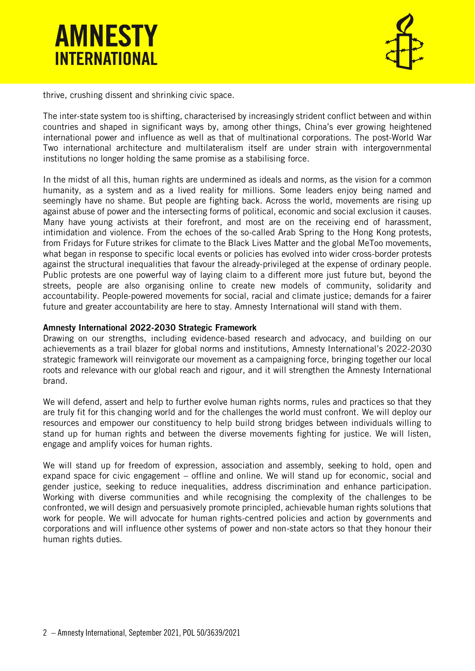



thrive, crushing dissent and shrinking civic space.

The inter-state system too is shifting, characterised by increasingly strident conflict between and within countries and shaped in significant ways by, among other things, China's ever growing heightened international power and influence as well as that of multinational corporations. The post-World War Two international architecture and multilateralism itself are under strain with intergovernmental institutions no longer holding the same promise as a stabilising force.

In the midst of all this, human rights are undermined as ideals and norms, as the vision for a common humanity, as a system and as a lived reality for millions. Some leaders enjoy being named and seemingly have no shame. But people are fighting back. Across the world, movements are rising up against abuse of power and the intersecting forms of political, economic and social exclusion it causes. Many have young activists at their forefront, and most are on the receiving end of harassment, intimidation and violence. From the echoes of the so-called Arab Spring to the Hong Kong protests, from Fridays for Future strikes for climate to the Black Lives Matter and the global MeToo movements, what began in response to specific local events or policies has evolved into wider cross-border protests against the structural inequalities that favour the already-privileged at the expense of ordinary people. Public protests are one powerful way of laying claim to a different more just future but, beyond the streets, people are also organising online to create new models of community, solidarity and accountability. People-powered movements for social, racial and climate justice; demands for a fairer future and greater accountability are here to stay. Amnesty International will stand with them.

#### Amnesty International 2022-2030 Strategic Framework

Drawing on our strengths, including evidence-based research and advocacy, and building on our achievements as a trail blazer for global norms and institutions, Amnesty International's 2022-2030 strategic framework will reinvigorate our movement as a campaigning force, bringing together our local roots and relevance with our global reach and rigour, and it will strengthen the Amnesty International brand.

We will defend, assert and help to further evolve human rights norms, rules and practices so that they are truly fit for this changing world and for the challenges the world must confront. We will deploy our resources and empower our constituency to help build strong bridges between individuals willing to stand up for human rights and between the diverse movements fighting for justice. We will listen, engage and amplify voices for human rights.

We will stand up for freedom of expression, association and assembly, seeking to hold, open and expand space for civic engagement – offline and online. We will stand up for economic, social and gender justice, seeking to reduce inequalities, address discrimination and enhance participation. Working with diverse communities and while recognising the complexity of the challenges to be confronted, we will design and persuasively promote principled, achievable human rights solutions that work for people. We will advocate for human rights-centred policies and action by governments and corporations and will influence other systems of power and non-state actors so that they honour their human rights duties.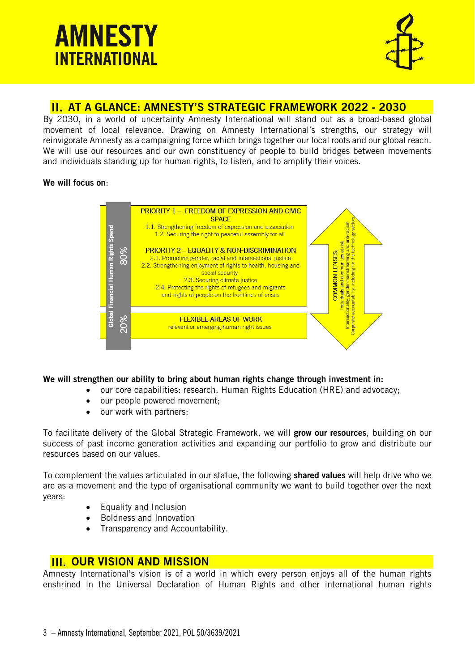

# <span id="page-2-0"></span>AT A GLANCE: AMNESTY'S STRATEGIC FRAMEWORK 2022 - 2030

By 2030, in a world of uncertainty Amnesty International will stand out as a broad-based global movement of local relevance. Drawing on Amnesty International's strengths, our strategy will reinvigorate Amnesty as a campaigning force which brings together our local roots and our global reach. We will use our resources and our own constituency of people to build bridges between movements and individuals standing up for human rights, to listen, and to amplify their voices.

#### We will focus on:



#### We will strengthen our ability to bring about human rights change through investment in:

- our core capabilities: research, Human Rights Education (HRE) and advocacy;
- our people powered movement;
- our work with partners;

To facilitate delivery of the Global Strategic Framework, we will grow our resources, building on our success of past income generation activities and expanding our portfolio to grow and distribute our resources based on our values.

To complement the values articulated in our statue, the following shared values will help drive who we are as a movement and the type of organisational community we want to build together over the next years:

- Equality and Inclusion
- Boldness and Innovation
- Transparency and Accountability.

# <span id="page-2-1"></span>**III. OUR VISION AND MISSION**

Amnesty International's vision is of a world in which every person enjoys all of the human rights enshrined in the Universal Declaration of Human Rights and other international human rights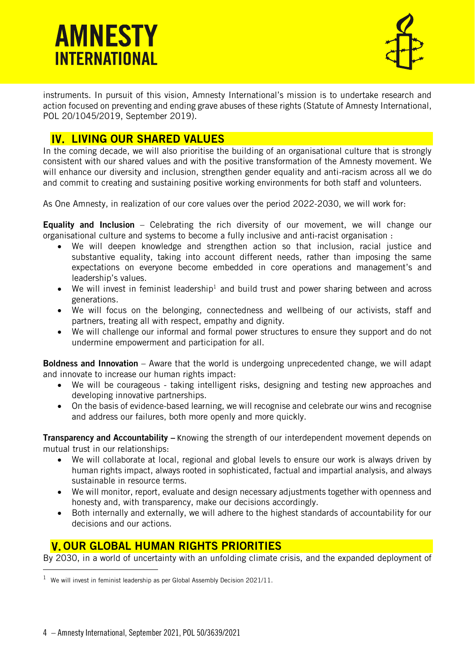

instruments. In pursuit of this vision, Amnesty International's mission is to undertake research and action focused on preventing and ending grave abuses of these rights (Statute of Amnesty International, POL 20/1045/2019, September 2019).

# <span id="page-3-0"></span>IV. LIVING OUR SHARED VALUES

In the coming decade, we will also prioritise the building of an organisational culture that is strongly consistent with our shared values and with the positive transformation of the Amnesty movement. We will enhance our diversity and inclusion, strengthen gender equality and anti-racism across all we do and commit to creating and sustaining positive working environments for both staff and volunteers.

As One Amnesty, in realization of our core values over the period 2022-2030, we will work for:

Equality and Inclusion – Celebrating the rich diversity of our movement, we will change our organisational culture and systems to become a fully inclusive and anti-racist organisation :

- We will deepen knowledge and strengthen action so that inclusion, racial justice and substantive equality, taking into account different needs, rather than imposing the same expectations on everyone become embedded in core operations and management's and leadership's values.
- We will invest in feminist leadership<sup>1</sup> and build trust and power sharing between and across generations*.*
- We will focus on the belonging, connectedness and wellbeing of our activists, staff and partners, treating all with respect, empathy and dignity.
- We will challenge our informal and formal power structures to ensure they support and do not undermine empowerment and participation for all.

Boldness and Innovation – Aware that the world is undergoing unprecedented change, we will adapt and innovate to increase our human rights impact:

- We will be courageous taking intelligent risks, designing and testing new approaches and developing innovative partnerships.
- On the basis of evidence-based learning, we will recognise and celebrate our wins and recognise and address our failures, both more openly and more quickly.

**Transparency and Accountability** – Knowing the strength of our interdependent movement depends on mutual trust in our relationships:

- We will collaborate at local, regional and global levels to ensure our work is always driven by human rights impact, always rooted in sophisticated, factual and impartial analysis, and always sustainable in resource terms.
- We will monitor, report, evaluate and design necessary adjustments together with openness and honesty and, with transparency, make our decisions accordingly.
- Both internally and externally, we will adhere to the highest standards of accountability for our decisions and our actions.

# <span id="page-3-1"></span>V. OUR GLOBAL HUMAN RIGHTS PRIORITIES

By 2030, in a world of uncertainty with an unfolding climate crisis, and the expanded deployment of

 $1$  We will invest in feminist leadership as per Global Assembly Decision 2021/11.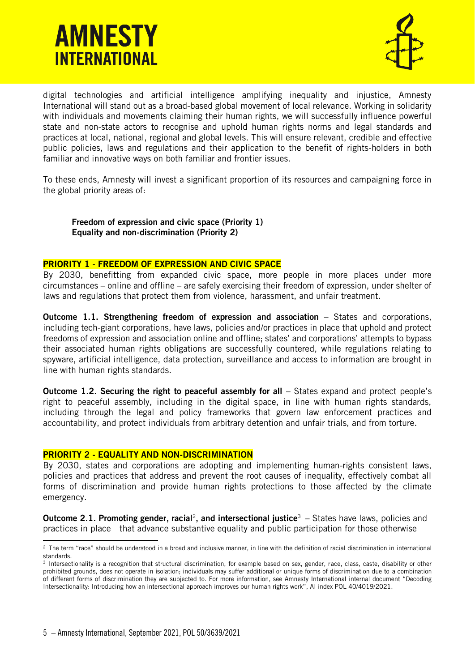

digital technologies and artificial intelligence amplifying inequality and injustice, Amnesty International will stand out as a broad-based global movement of local relevance. Working in solidarity with individuals and movements claiming their human rights, we will successfully influence powerful state and non-state actors to recognise and uphold human rights norms and legal standards and practices at local, national, regional and global levels. This will ensure relevant, credible and effective public policies, laws and regulations and their application to the benefit of rights-holders in both familiar and innovative ways on both familiar and frontier issues.

To these ends, Amnesty will invest a significant proportion of its resources and campaigning force in the global priority areas of:

Freedom of expression and civic space (Priority 1) Equality and non-discrimination (Priority 2)

#### PRIORITY 1 - FREEDOM OF EXPRESSION AND CIVIC SPACE

By 2030, benefitting from expanded civic space, more people in more places under more circumstances – online and offline – are safely exercising their freedom of expression, under shelter of laws and regulations that protect them from violence, harassment, and unfair treatment.

Outcome 1.1. Strengthening freedom of expression and association – States and corporations, including tech-giant corporations, have laws, policies and/or practices in place that uphold and protect freedoms of expression and association online and offline; states' and corporations' attempts to bypass their associated human rights obligations are successfully countered, while regulations relating to spyware, artificial intelligence, data protection, surveillance and access to information are brought in line with human rights standards.

Outcome 1.2. Securing the right to peaceful assembly for all – States expand and protect people's right to peaceful assembly, including in the digital space, in line with human rights standards, including through the legal and policy frameworks that govern law enforcement practices and accountability, and protect individuals from arbitrary detention and unfair trials, and from torture.

#### PRIORITY 2 - EQUALITY AND NON-DISCRIMINATION

By 2030, states and corporations are adopting and implementing human-rights consistent laws, policies and practices that address and prevent the root causes of inequality, effectively combat all forms of discrimination and provide human rights protections to those affected by the climate emergency.

**Outcome 2.1. Promoting gender, racial<sup>2</sup>, and intersectional justice<sup>3</sup> – States have laws, policies and** practices in place that advance substantive equality and public participation for those otherwise

<sup>&</sup>lt;sup>2</sup> The term "race" should be understood in a broad and inclusive manner, in line with the definition of racial discrimination in international standards.

<sup>3</sup> Intersectionality is a recognition that structural discrimination, for example based on sex, gender, race, class, caste, disability or other prohibited grounds, does not operate in isolation; individuals may suffer additional or unique forms of discrimination due to a combination of different forms of discrimination they are subjected to. For more information, see Amnesty International internal document "Decoding Intersectionality: Introducing how an intersectional approach improves our human rights work", AI index POL 40/4019/2021.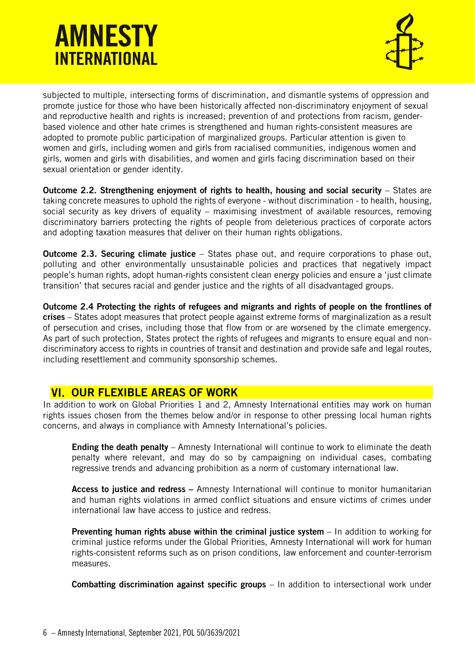

subjected to multiple, intersecting forms of discrimination, and dismantle systems of oppression and promote justice for those who have been historically affected non-discriminatory enjoyment of sexual and reproductive health and rights is increased; prevention of and protections from racism, genderbased violence and other hate crimes is strengthened and human rights-consistent measures are adopted to promote public participation of marginalized groups. Particular attention is given to women and girls, including women and girls from racialised communities, indigenous women and girls, women and girls with disabilities, and women and girls facing discrimination based on their sexual orientation or gender identity.

Outcome 2.2. Strengthening enjoyment of rights to health, housing and social security – States are taking concrete measures to uphold the rights of everyone - without discrimination - to health, housing, social security as key drivers of equality – maximising investment of available resources, removing discriminatory barriers protecting the rights of people from deleterious practices of corporate actors and adopting taxation measures that deliver on their human rights obligations.

**Outcome 2.3. Securing climate justice** – States phase out, and require corporations to phase out, polluting and other environmentally unsustainable policies and practices that negatively impact people's human rights, adopt human-rights consistent clean energy policies and ensure a 'just climate transition' that secures racial and gender justice and the rights of all disadvantaged groups.

Outcome 2.4 Protecting the rights of refugees and migrants and rights of people on the frontlines of crises – States adopt measures that protect people against extreme forms of marginalization as a result of persecution and crises, including those that flow from or are worsened by the climate emergency. As part of such protection, States protect the rights of refugees and migrants to ensure equal and nondiscriminatory access to rights in countries of transit and destination and provide safe and legal routes, including resettlement and community sponsorship schemes.

### <span id="page-5-0"></span>**VI. OUR FLEXIBLE AREAS OF WORK**

In addition to work on Global Priorities 1 and 2, Amnesty International entities may work on human rights issues chosen from the themes below and/or in response to other pressing local human rights concerns, and always in compliance with Amnesty International's policies.

Ending the death penalty – Amnesty International will continue to work to eliminate the death penalty where relevant, and may do so by campaigning on individual cases, combating regressive trends and advancing prohibition as a norm of customary international law.

Access to justice and redress – Amnesty International will continue to monitor humanitarian and human rights violations in armed conflict situations and ensure victims of crimes under international law have access to justice and redress.

Preventing human rights abuse within the criminal justice system – In addition to working for criminal justice reforms under the Global Priorities, Amnesty International will work for human rights-consistent reforms such as on prison conditions, law enforcement and counter-terrorism measures.

Combatting discrimination against specific groups – In addition to intersectional work under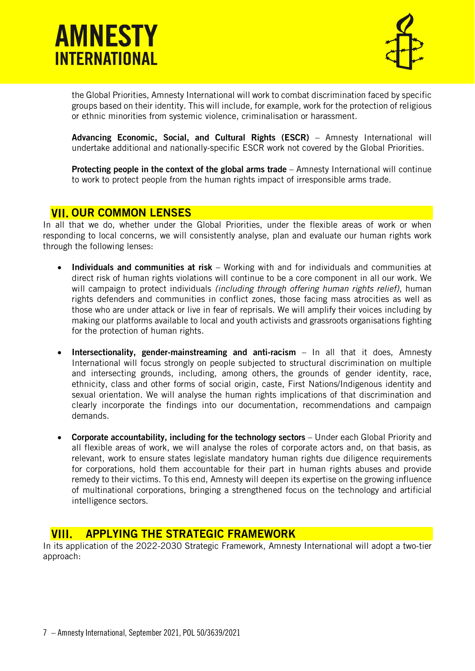



the Global Priorities, Amnesty International will work to combat discrimination faced by specific groups based on their identity. This will include, for example, work for the protection of religious or ethnic minorities from systemic violence, criminalisation or harassment.

Advancing Economic, Social, and Cultural Rights (ESCR) - Amnesty International will undertake additional and nationally-specific ESCR work not covered by the Global Priorities.

Protecting people in the context of the global arms trade – Amnesty International will continue to work to protect people from the human rights impact of irresponsible arms trade.

### <span id="page-6-0"></span>**VII. OUR COMMON LENSES**

In all that we do, whether under the Global Priorities, under the flexible areas of work or when responding to local concerns, we will consistently analyse, plan and evaluate our human rights work through the following lenses:

- Individuals and communities at risk Working with and for individuals and communities at direct risk of human rights violations will continue to be a core component in all our work. We will campaign to protect individuals *(including through offering human rights relief)*, human rights defenders and communities in conflict zones, those facing mass atrocities as well as those who are under attack or live in fear of reprisals. We will amplify their voices including by making our platforms available to local and youth activists and grassroots organisations fighting for the protection of human rights.
- Intersectionality, gender-mainstreaming and anti-racism In all that it does, Amnesty International will focus strongly on people subjected to structural discrimination on multiple and intersecting grounds, including, among others, the grounds of gender identity, race, ethnicity, class and other forms of social origin, caste, First Nations/Indigenous identity and sexual orientation. We will analyse the human rights implications of that discrimination and clearly incorporate the findings into our documentation, recommendations and campaign demands.
- Corporate accountability, including for the technology sectors Under each Global Priority and all flexible areas of work, we will analyse the roles of corporate actors and, on that basis, as relevant, work to ensure states legislate mandatory human rights due diligence requirements for corporations, hold them accountable for their part in human rights abuses and provide remedy to their victims. To this end, Amnesty will deepen its expertise on the growing influence of multinational corporations, bringing a strengthened focus on the technology and artificial intelligence sectors.

### <span id="page-6-1"></span>VIII. APPLYING THE STRATEGIC FRAMEWORK

In its application of the 2022-2030 Strategic Framework, Amnesty International will adopt a two-tier approach: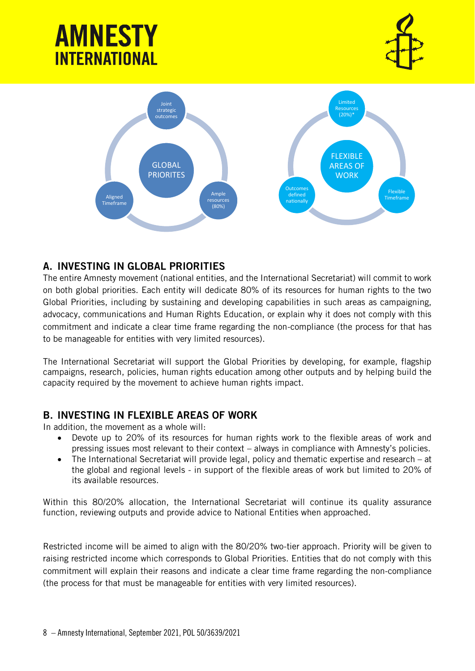



# <span id="page-7-0"></span>A. INVESTING IN GLOBAL PRIORITIES

The entire Amnesty movement (national entities, and the International Secretariat) will commit to work on both global priorities. Each entity will dedicate 80% of its resources for human rights to the two Global Priorities, including by sustaining and developing capabilities in such areas as campaigning, advocacy, communications and Human Rights Education, or explain why it does not comply with this commitment and indicate a clear time frame regarding the non-compliance (the process for that has to be manageable for entities with very limited resources).

The International Secretariat will support the Global Priorities by developing, for example, flagship campaigns, research, policies, human rights education among other outputs and by helping build the capacity required by the movement to achieve human rights impact.

### <span id="page-7-1"></span>B. INVESTING IN FLEXIBLE AREAS OF WORK

In addition, the movement as a whole will:

- Devote up to 20% of its resources for human rights work to the flexible areas of work and pressing issues most relevant to their context – always in compliance with Amnesty's policies.
- The International Secretariat will provide legal, policy and thematic expertise and research at the global and regional levels - in support of the flexible areas of work but limited to 20% of its available resources.

Within this 80/20% allocation, the International Secretariat will continue its quality assurance function, reviewing outputs and provide advice to National Entities when approached.

Restricted income will be aimed to align with the 80/20% two-tier approach. Priority will be given to raising restricted income which corresponds to Global Priorities. Entities that do not comply with this commitment will explain their reasons and indicate a clear time frame regarding the non-compliance (the process for that must be manageable for entities with very limited resources).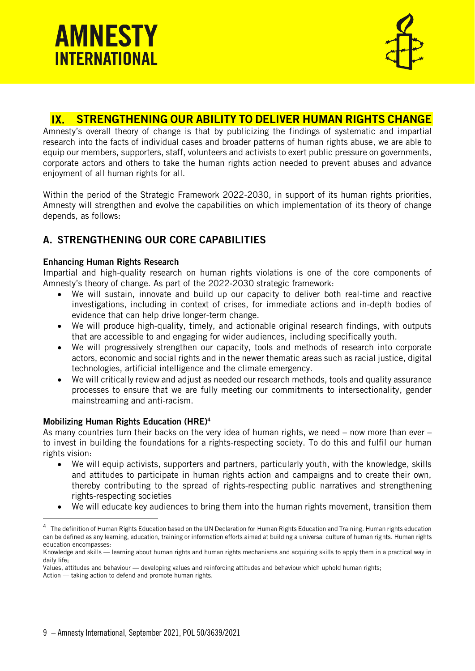



#### <span id="page-8-0"></span> $\mathbf{I} \mathbf{X}$ STRENGTHENING OUR ABILITY TO DELIVER HUMAN RIGHTS CHANGE

Amnesty's overall theory of change is that by publicizing the findings of systematic and impartial research into the facts of individual cases and broader patterns of human rights abuse, we are able to equip our members, supporters, staff, volunteers and activists to exert public pressure on governments, corporate actors and others to take the human rights action needed to prevent abuses and advance enjoyment of all human rights for all.

Within the period of the Strategic Framework 2022-2030, in support of its human rights priorities, Amnesty will strengthen and evolve the capabilities on which implementation of its theory of change depends, as follows:

### <span id="page-8-1"></span>A. STRENGTHENING OUR CORE CAPABILITIES

#### Enhancing Human Rights Research

Impartial and high-quality research on human rights violations is one of the core components of Amnesty's theory of change. As part of the 2022-2030 strategic framework:

- We will sustain, innovate and build up our capacity to deliver both real-time and reactive investigations, including in context of crises, for immediate actions and in-depth bodies of evidence that can help drive longer-term change.
- We will produce high-quality, timely, and actionable original research findings, with outputs that are accessible to and engaging for wider audiences, including specifically youth.
- We will progressively strengthen our capacity, tools and methods of research into corporate actors, economic and social rights and in the newer thematic areas such as racial justice, digital technologies, artificial intelligence and the climate emergency.
- We will critically review and adjust as needed our research methods, tools and quality assurance processes to ensure that we are fully meeting our commitments to intersectionality, gender mainstreaming and anti-racism.

#### Mobilizing Human Rights Education (HRE) 4

As many countries turn their backs on the very idea of human rights, we need – now more than ever – to invest in building the foundations for a rights-respecting society. To do this and fulfil our human rights vision:

- We will equip activists, supporters and partners, particularly youth, with the knowledge, skills and attitudes to participate in human rights action and campaigns and to create their own, thereby contributing to the spread of rights-respecting public narratives and strengthening rights-respecting societies
- We will educate key audiences to bring them into the human rights movement, transition them

 $^4$  The definition of Human Rights Education based on the UN Declaration for Human Rights Education and Training. Human rights education can be defined as any learning, education, training or information efforts aimed at building a universal culture of human rights. Human rights education encompasses:

Knowledge and skills — learning about human rights and human rights mechanisms and acquiring skills to apply them in a practical way in daily life;

Values, attitudes and behaviour — developing values and reinforcing attitudes and behaviour which uphold human rights;

Action — taking action to defend and promote human rights.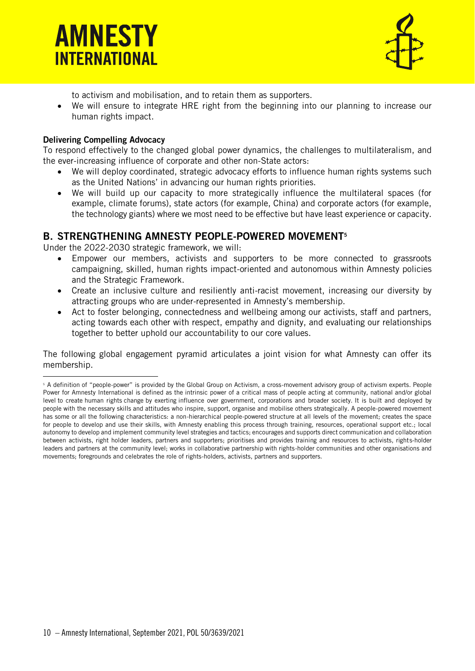



to activism and mobilisation, and to retain them as supporters.

• We will ensure to integrate HRE right from the beginning into our planning to increase our human rights impact.

#### Delivering Compelling Advocacy

To respond effectively to the changed global power dynamics, the challenges to multilateralism, and the ever-increasing influence of corporate and other non-State actors:

- We will deploy coordinated, strategic advocacy efforts to influence human rights systems such as the United Nations' in advancing our human rights priorities.
- We will build up our capacity to more strategically influence the multilateral spaces (for example, climate forums), state actors (for example, China) and corporate actors (for example, the technology giants) where we most need to be effective but have least experience or capacity.

#### <span id="page-9-0"></span>B. STRENGTHENING AMNESTY PEOPLE-POWERED MOVEMENT<sup>5</sup>

Under the 2022-2030 strategic framework, we will:

- Empower our members, activists and supporters to be more connected to grassroots campaigning, skilled, human rights impact-oriented and autonomous within Amnesty policies and the Strategic Framework.
- Create an inclusive culture and resiliently anti-racist movement, increasing our diversity by attracting groups who are under-represented in Amnesty's membership.
- Act to foster belonging, connectedness and wellbeing among our activists, staff and partners, acting towards each other with respect, empathy and dignity, and evaluating our relationships together to better uphold our accountability to our core values.

The following global engagement pyramid articulates a joint vision for what Amnesty can offer its membership.

<sup>&</sup>lt;sup>5</sup> A definition of "people-power" is provided by the Global Group on Activism, a cross-movement advisory group of activism experts. People Power for Amnesty International is defined as the intrinsic power of a critical mass of people acting at community, national and/or global level to create human rights change by exerting influence over government, corporations and broader society. It is built and deployed by people with the necessary skills and attitudes who inspire, support, organise and mobilise others strategically. A people-powered movement has some or all the following characteristics: a non-hierarchical people-powered structure at all levels of the movement; creates the space for people to develop and use their skills, with Amnesty enabling this process through training, resources, operational support etc.; local autonomy to develop and implement community level strategies and tactics; encourages and supports direct communication and collaboration between activists, right holder leaders, partners and supporters; prioritises and provides training and resources to activists, rights-holder leaders and partners at the community level; works in collaborative partnership with rights-holder communities and other organisations and movements; foregrounds and celebrates the role of rights-holders, activists, partners and supporters.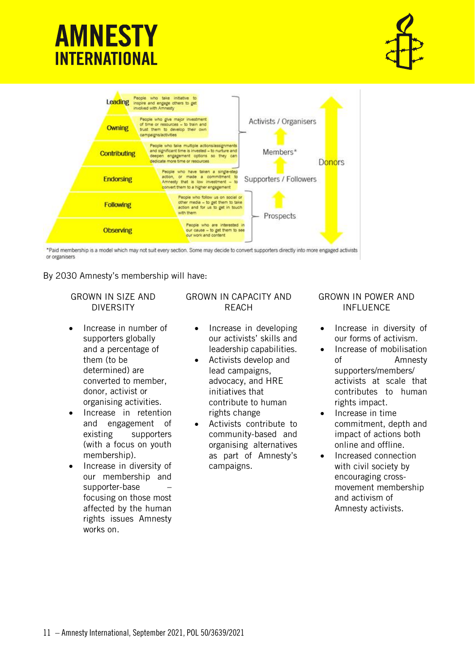





\*Paid membership is a model which may not suit every section. Some may decide to convert supporters directly into more engaged activists or organisers

By 2030 Amnesty's membership will have:

#### GROWN IN SIZE AND DIVERSITY

- Increase in number of supporters globally and a percentage of them (to be determined) are converted to member, donor, activist or organising activities.
- Increase in retention and engagement of existing supporters (with a focus on youth membership).
- Increase in diversity of our membership and supporter-base – focusing on those most affected by the human rights issues Amnesty works on.

#### GROWN IN CAPACITY AND REACH

- Increase in developing our activists' skills and leadership capabilities.
- Activists develop and lead campaigns, advocacy, and HRE initiatives that contribute to human rights change
- Activists contribute to community-based and organising alternatives as part of Amnesty's campaigns.

#### GROWN IN POWER AND INFLUENCE

- Increase in diversity of our forms of activism.
- Increase of mobilisation of Amnesty supporters/members/ activists at scale that contributes to human rights impact.
- Increase in time commitment, depth and impact of actions both online and offline.
- Increased connection with civil society by encouraging crossmovement membership and activism of Amnesty activists.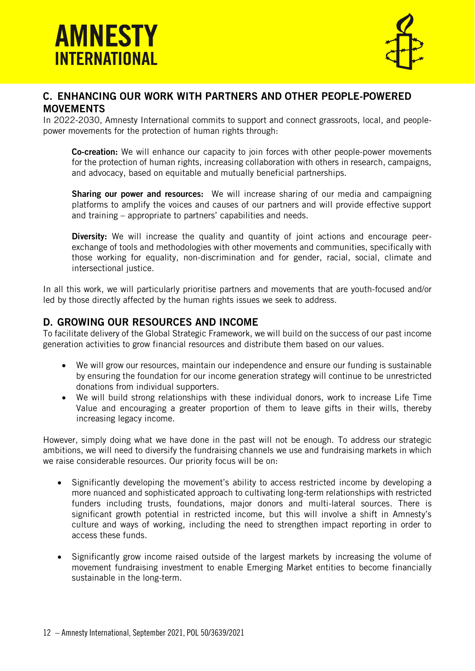

#### <span id="page-11-0"></span>C. ENHANCING OUR WORK WITH PARTNERS AND OTHER PEOPLE-POWERED **MOVEMENTS**

In 2022-2030, Amnesty International commits to support and connect grassroots, local, and peoplepower movements for the protection of human rights through:

Co-creation: We will enhance our capacity to join forces with other people-power movements for the protection of human rights, increasing collaboration with others in research, campaigns, and advocacy, based on equitable and mutually beneficial partnerships.

**Sharing our power and resources:** We will increase sharing of our media and campaigning platforms to amplify the voices and causes of our partners and will provide effective support and training – appropriate to partners' capabilities and needs.

**Diversity:** We will increase the quality and quantity of joint actions and encourage peerexchange of tools and methodologies with other movements and communities, specifically with those working for equality, non-discrimination and for gender, racial, social, climate and intersectional justice.

In all this work, we will particularly prioritise partners and movements that are youth-focused and/or led by those directly affected by the human rights issues we seek to address.

#### <span id="page-11-1"></span>D. GROWING OUR RESOURCES AND INCOME

To facilitate delivery of the Global Strategic Framework, we will build on the success of our past income generation activities to grow financial resources and distribute them based on our values.

- We will grow our resources, maintain our independence and ensure our funding is sustainable by ensuring the foundation for our income generation strategy will continue to be unrestricted donations from individual supporters.
- We will build strong relationships with these individual donors, work to increase Life Time Value and encouraging a greater proportion of them to leave gifts in their wills, thereby increasing legacy income.

However, simply doing what we have done in the past will not be enough. To address our strategic ambitions, we will need to diversify the fundraising channels we use and fundraising markets in which we raise considerable resources. Our priority focus will be on:

- Significantly developing the movement's ability to access restricted income by developing a more nuanced and sophisticated approach to cultivating long-term relationships with restricted funders including trusts, foundations, major donors and multi-lateral sources. There is significant growth potential in restricted income, but this will involve a shift in Amnesty's culture and ways of working, including the need to strengthen impact reporting in order to access these funds.
- Significantly grow income raised outside of the largest markets by increasing the volume of movement fundraising investment to enable Emerging Market entities to become financially sustainable in the long-term.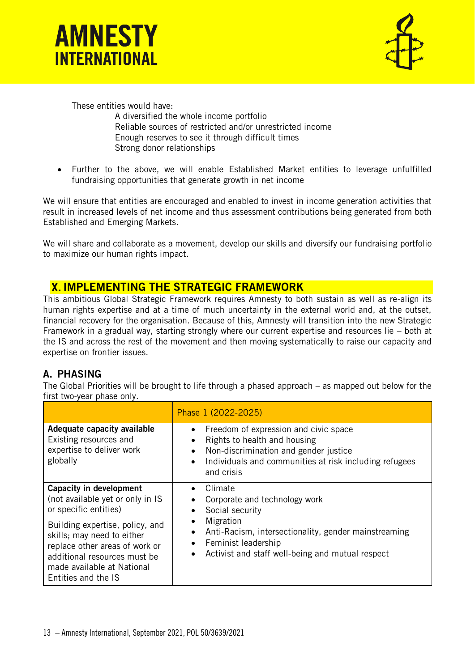



These entities would have:

A diversified the whole income portfolio Reliable sources of restricted and/or unrestricted income Enough reserves to see it through difficult times Strong donor relationships

• Further to the above, we will enable Established Market entities to leverage unfulfilled fundraising opportunities that generate growth in net income

We will ensure that entities are encouraged and enabled to invest in income generation activities that result in increased levels of net income and thus assessment contributions being generated from both Established and Emerging Markets.

We will share and collaborate as a movement, develop our skills and diversify our fundraising portfolio to maximize our human rights impact.

### <span id="page-12-0"></span>**X. IMPLEMENTING THE STRATEGIC FRAMEWORK**

This ambitious Global Strategic Framework requires Amnesty to both sustain as well as re-align its human rights expertise and at a time of much uncertainty in the external world and, at the outset, financial recovery for the organisation. Because of this, Amnesty will transition into the new Strategic Framework in a gradual way, starting strongly where our current expertise and resources lie – both at the IS and across the rest of the movement and then moving systematically to raise our capacity and expertise on frontier issues.

### <span id="page-12-1"></span>A. PHASING

The Global Priorities will be brought to life through a phased approach – as mapped out below for the first two-year phase only.

|                                                                                                                                                                                                                                                                                     | Phase 1 (2022-2025)                                                                                                                                                                                         |
|-------------------------------------------------------------------------------------------------------------------------------------------------------------------------------------------------------------------------------------------------------------------------------------|-------------------------------------------------------------------------------------------------------------------------------------------------------------------------------------------------------------|
| Adequate capacity available<br>Existing resources and<br>expertise to deliver work<br>globally                                                                                                                                                                                      | Freedom of expression and civic space<br>Rights to health and housing<br>Non-discrimination and gender justice<br>Individuals and communities at risk including refugees<br>$\bullet$<br>and crisis         |
| <b>Capacity in development</b><br>(not available yet or only in IS<br>or specific entities)<br>Building expertise, policy, and<br>skills; may need to either<br>replace other areas of work or<br>additional resources must be<br>made available at National<br>Entities and the IS | Climate<br>Corporate and technology work<br>Social security<br>Migration<br>Anti-Racism, intersectionality, gender mainstreaming<br>Feminist leadership<br>Activist and staff well-being and mutual respect |